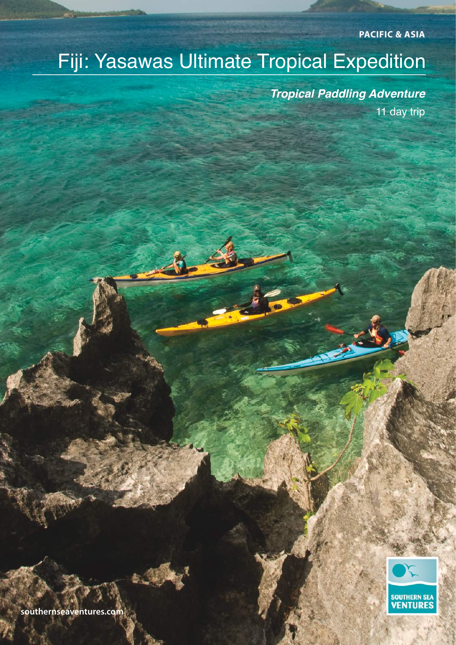**PACIFIC & ASIA**

# Fiji: Yasawas Ultimate Tropical Expedition

**SOUTHERN SEA VENTURES** 

*Tropical Paddling Adventure* 11 day trip

**southernseaventures.com**

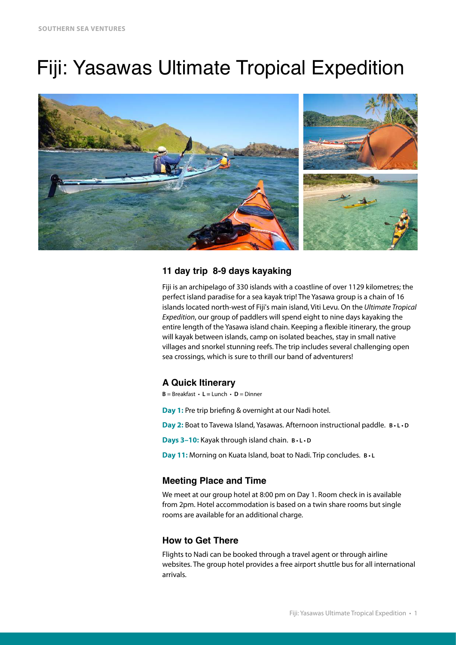# Fiji: Yasawas Ultimate Tropical Expedition



# **11 day trip 8-9 days kayaking**

Fiji is an archipelago of 330 islands with a coastline of over 1129 kilometres; the perfect island paradise for a sea kayak trip! The Yasawa group is a chain of 16 islands located north-west of Fiji's main island, Viti Levu. On the *Ultimate Tropical Expedition*, our group of paddlers will spend eight to nine days kayaking the entire length of the Yasawa island chain. Keeping a fexible itinerary, the group will kayak between islands, camp on isolated beaches, stay in small native villages and snorkel stunning reefs. The trip includes several challenging open sea crossings, which is sure to thrill our band of adventurers!

# **A Quick Itinerary**

 $B = B$ reakfast  $\cdot L = L$ unch  $\cdot D = D$ inner

**Day 1:** Pre trip briefng & overnight at our Nadi hotel.

**Day 2:** Boat to Tavewa Island, Yasawas. Afternoon instructional paddle. **B • L • D**

**Days 3–10:** Kayak through island chain. **B • L • D**

**Day 11:** Morning on Kuata Island, boat to Nadi. Trip concludes. **B • L**

# **Meeting Place and Time**

We meet at our group hotel at 8:00 pm on Day 1. Room check in is available from 2pm. Hotel accommodation is based on a twin share rooms but single rooms are available for an additional charge.

# **How to Get There**

Flights to Nadi can be booked through a travel agent or through airline websites. The group hotel provides a free airport shuttle bus for all international arrivals.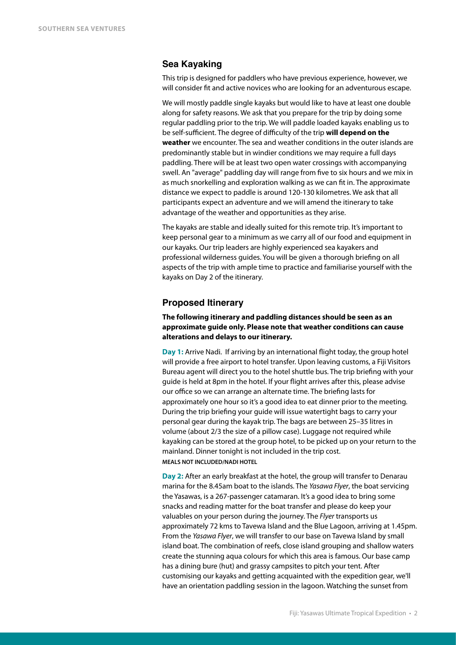#### **Sea Kayaking**

This trip is designed for paddlers who have previous experience, however, we will consider ft and active novices who are looking for an adventurous escape.

We will mostly paddle single kayaks but would like to have at least one double along for safety reasons. We ask that you prepare for the trip by doing some regular paddling prior to the trip. We will paddle loaded kayaks enabling us to be self-sufficient. The degree of difficulty of the trip **will depend on the weather** we encounter. The sea and weather conditions in the outer islands are predominantly stable but in windier conditions we may require a full days paddling. There will be at least two open water crossings with accompanying swell. An "average" paddling day will range from fve to six hours and we mix in as much snorkelling and exploration walking as we can ft in. The approximate distance we expect to paddle is around 120-130 kilometres. We ask that all participants expect an adventure and we will amend the itinerary to take advantage of the weather and opportunities as they arise.

The kayaks are stable and ideally suited for this remote trip. It's important to keep personal gear to a minimum as we carry all of our food and equipment in our kayaks. Our trip leaders are highly experienced sea kayakers and professional wilderness guides. You will be given a thorough briefng on all aspects of the trip with ample time to practice and familiarise yourself with the kayaks on Day 2 of the itinerary.

#### **Proposed Itinerary**

**The following itinerary and paddling distances should be seen as an approximate guide only. Please note that weather conditions can cause alterations and delays to our itinerary.** 

**Day 1:** Arrive Nadi. If arriving by an international flight today, the group hotel will provide a free airport to hotel transfer. Upon leaving customs, a Fiji Visitors Bureau agent will direct you to the hotel shuttle bus. The trip briefng with your guide is held at 8pm in the hotel. If your fight arrives after this, please advise our office so we can arrange an alternate time. The briefng lasts for approximately one hour so it's a good idea to eat dinner prior to the meeting. During the trip briefng your guide will issue watertight bags to carry your personal gear during the kayak trip. The bags are between 25–35 litres in volume (about 2/3 the size of a pillow case). Luggage not required while kayaking can be stored at the group hotel, to be picked up on your return to the mainland. Dinner tonight is not included in the trip cost. **MEALS NOT INCLUDED/NADI HOTEL**

**Day 2:** After an early breakfast at the hotel, the group will transfer to Denarau marina for the 8.45am boat to the islands. The *Yasawa Flyer*, the boat servicing the Yasawas, is a 267-passenger catamaran. It's a good idea to bring some snacks and reading matter for the boat transfer and please do keep your valuables on your person during the journey. The *Flyer* transports us approximately 72 kms to Tavewa Island and the Blue Lagoon, arriving at 1.45pm. From the *Yasawa Flyer*, we will transfer to our base on Tavewa Island by small island boat. The combination of reefs, close island grouping and shallow waters create the stunning aqua colours for which this area is famous. Our base camp has a dining bure (hut) and grassy campsites to pitch your tent. After customising our kayaks and getting acquainted with the expedition gear, we'll have an orientation paddling session in the lagoon. Watching the sunset from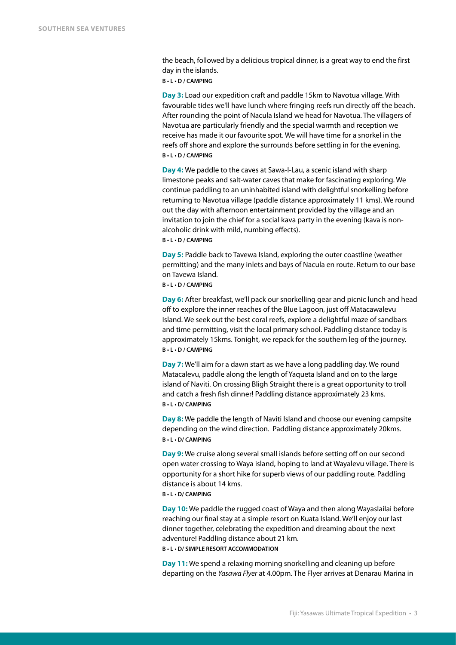the beach, followed by a delicious tropical dinner, is a great way to end the first day in the islands.

**B • L • D / CAMPING**

**Day 3:** Load our expedition craft and paddle 15km to Navotua village. With favourable tides we'll have lunch where fringing reefs run directly off the beach. After rounding the point of Nacula Island we head for Navotua. The villagers of Navotua are particularly friendly and the special warmth and reception we receive has made it our favourite spot. We will have time for a snorkel in the reefs off shore and explore the surrounds before settling in for the evening. **B • L • D / CAMPING**

**Day 4:** We paddle to the caves at Sawa-I-Lau, a scenic island with sharp limestone peaks and salt-water caves that make for fascinating exploring. We continue paddling to an uninhabited island with delightful snorkelling before returning to Navotua village (paddle distance approximately 11 kms). We round out the day with afternoon entertainment provided by the village and an invitation to join the chief for a social kava party in the evening (kava is nonalcoholic drink with mild, numbing effects).

#### **B • L • D / CAMPING**

**Day 5:** Paddle back to Tavewa Island, exploring the outer coastline (weather permitting) and the many inlets and bays of Nacula en route. Return to our base on Tavewa Island.

**B • L • D / CAMPING** 

**Day 6:** After breakfast, we'll pack our snorkelling gear and picnic lunch and head off to explore the inner reaches of the Blue Lagoon, just off Matacawalevu Island. We seek out the best coral reefs, explore a delightful maze of sandbars and time permitting, visit the local primary school. Paddling distance today is approximately 15kms. Tonight, we repack for the southern leg of the journey. **B • L • D / CAMPING**

**Day 7:** We'll aim for a dawn start as we have a long paddling day. We round Matacalevu, paddle along the length of Yaqueta Island and on to the large island of Naviti. On crossing Bligh Straight there is a great opportunity to troll and catch a fresh fsh dinner! Paddling distance approximately 23 kms. **B • L • D/ CAMPING**

**Day 8:** We paddle the length of Naviti Island and choose our evening campsite depending on the wind direction. Paddling distance approximately 20kms. **B • L • D/ CAMPING** 

**Day 9:** We cruise along several small islands before setting off on our second open water crossing to Waya island, hoping to land at Wayalevu village. There is opportunity for a short hike for superb views of our paddling route. Paddling distance is about 14 kms.

#### **B • L • D/ CAMPING**

**Day 10:** We paddle the rugged coast of Waya and then along Wayaslailai before reaching our fnal stay at a simple resort on Kuata Island. We'll enjoy our last dinner together, celebrating the expedition and dreaming about the next adventure! Paddling distance about 21 km.

**B • L • D/ SIMPLE RESORT ACCOMMODATION** 

**Day 11:** We spend a relaxing morning snorkelling and cleaning up before departing on the *Yasawa Flyer* at 4.00pm. The Flyer arrives at Denarau Marina in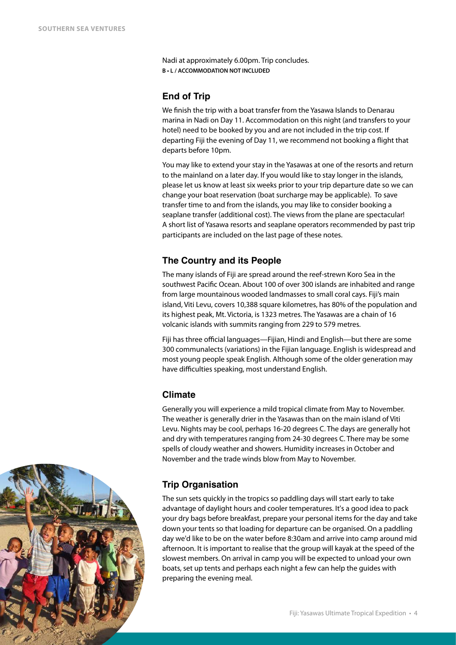Nadi at approximately 6.00pm. Trip concludes. **B • L / ACCOMMODATION NOT INCLUDED**

# **End of Trip**

We fnish the trip with a boat transfer from the Yasawa Islands to Denarau marina in Nadi on Day 11. Accommodation on this night (and transfers to your hotel) need to be booked by you and are not included in the trip cost. If departing Fiji the evening of Day 11, we recommend not booking a fight that departs before 10pm.

You may like to extend your stay in the Yasawas at one of the resorts and return to the mainland on a later day. If you would like to stay longer in the islands, please let us know at least six weeks prior to your trip departure date so we can change your boat reservation (boat surcharge may be applicable). To save transfer time to and from the islands, you may like to consider booking a seaplane transfer (additional cost). The views from the plane are spectacular! A short list of Yasawa resorts and seaplane operators recommended by past trip participants are included on the last page of these notes.

# **The Country and its People**

The many islands of Fiji are spread around the reef-strewn Koro Sea in the southwest Pacifc Ocean. About 100 of over 300 islands are inhabited and range from large mountainous wooded landmasses to small coral cays. Fiji's main island, Viti Levu, covers 10,388 square kilometres, has 80% of the population and its highest peak, Mt. Victoria, is 1323 metres. The Yasawas are a chain of 16 volcanic islands with summits ranging from 229 to 579 metres.

Fiji has three official languages—Fijian, Hindi and English—but there are some 300 communalects (variations) in the Fijian language. English is widespread and most young people speak English. Although some of the older generation may have difficulties speaking, most understand English.

# **Climate**

Generally you will experience a mild tropical climate from May to November. The weather is generally drier in the Yasawas than on the main island of Viti Levu. Nights may be cool, perhaps 16-20 degrees C. The days are generally hot and dry with temperatures ranging from 24-30 degrees C. There may be some spells of cloudy weather and showers. Humidity increases in October and November and the trade winds blow from May to November.

# **Trip Organisation**

The sun sets quickly in the tropics so paddling days will start early to take advantage of daylight hours and cooler temperatures. It's a good idea to pack your dry bags before breakfast, prepare your personal items for the day and take down your tents so that loading for departure can be organised. On a paddling day we'd like to be on the water before 8:30am and arrive into camp around mid afternoon. It is important to realise that the group will kayak at the speed of the slowest members. On arrival in camp you will be expected to unload your own boats, set up tents and perhaps each night a few can help the guides with preparing the evening meal.

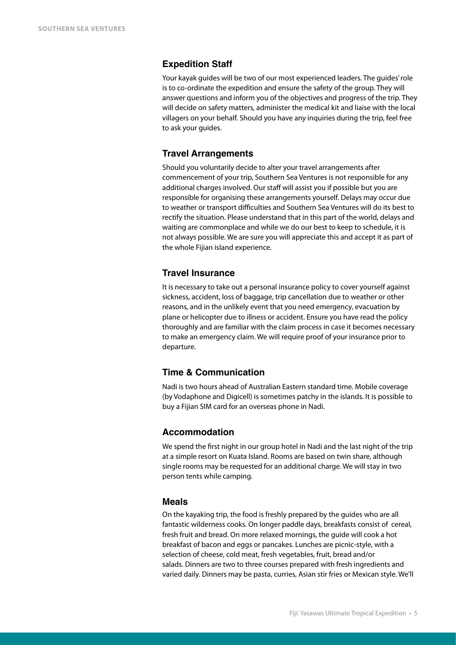# **Expedition Staff**

Your kayak guides will be two of our most experienced leaders. The guides' role is to co-ordinate the expedition and ensure the safety of the group. They will answer questions and inform you of the objectives and progress of the trip. They will decide on safety matters, administer the medical kit and liaise with the local villagers on your behalf. Should you have any inquiries during the trip, feel free to ask your guides.

# **Travel Arrangements**

Should you voluntarily decide to alter your travel arrangements after commencement of your trip, Southern Sea Ventures is not responsible for any additional charges involved. Our staff will assist you if possible but you are responsible for organising these arrangements yourself. Delays may occur due to weather or transport difficulties and Southern Sea Ventures will do its best to rectify the situation. Please understand that in this part of the world, delays and waiting are commonplace and while we do our best to keep to schedule, it is not always possible. We are sure you will appreciate this and accept it as part of the whole Fijian island experience.

# **Travel Insurance**

It is necessary to take out a personal insurance policy to cover yourself against sickness, accident, loss of baggage, trip cancellation due to weather or other reasons, and in the unlikely event that you need emergency, evacuation by plane or helicopter due to illness or accident. Ensure you have read the policy thoroughly and are familiar with the claim process in case it becomes necessary to make an emergency claim. We will require proof of your insurance prior to departure.

# **Time & Communication**

Nadi is two hours ahead of Australian Eastern standard time. Mobile coverage (by Vodaphone and Digicell) is sometimes patchy in the islands. It is possible to buy a Fijian SIM card for an overseas phone in Nadi.

# **Accommodation**

We spend the frst night in our group hotel in Nadi and the last night of the trip at a simple resort on Kuata Island. Rooms are based on twin share, although single rooms may be requested for an additional charge. We will stay in two person tents while camping.

#### **Meals**

On the kayaking trip, the food is freshly prepared by the guides who are all fantastic wilderness cooks. On longer paddle days, breakfasts consist of cereal, fresh fruit and bread. On more relaxed mornings, the guide will cook a hot breakfast of bacon and eggs or pancakes. Lunches are picnic-style, with a selection of cheese, cold meat, fresh vegetables, fruit, bread and/or salads. Dinners are two to three courses prepared with fresh ingredients and varied daily. Dinners may be pasta, curries, Asian stir fries or Mexican style. We'll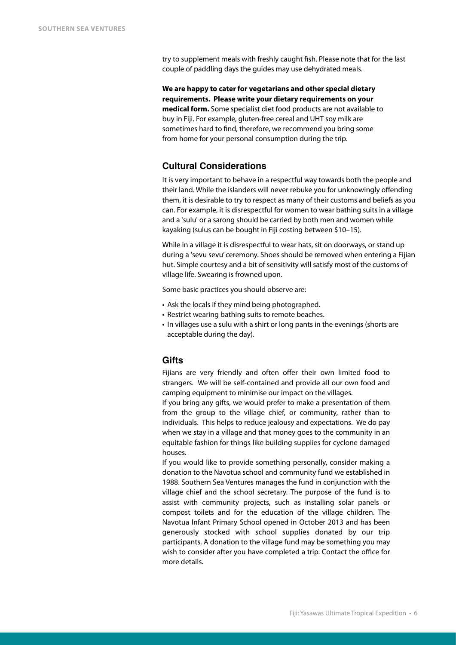try to supplement meals with freshly caught fsh. Please note that for the last couple of paddling days the guides may use dehydrated meals.

**We are happy to cater for vegetarians and other special dietary requirements. Please write your dietary requirements on your medical form.** Some specialist diet food products are not available to buy in Fiji. For example, gluten-free cereal and UHT soy milk are sometimes hard to fnd, therefore, we recommend you bring some from home for your personal consumption during the trip.

# **Cultural Considerations**

It is very important to behave in a respectful way towards both the people and their land. While the islanders will never rebuke you for unknowingly offending them, it is desirable to try to respect as many of their customs and beliefs as you can. For example, it is disrespectful for women to wear bathing suits in a village and a 'sulu' or a sarong should be carried by both men and women while kayaking (sulus can be bought in Fiji costing between \$10–15).

While in a village it is disrespectful to wear hats, sit on doorways, or stand up during a 'sevu sevu' ceremony. Shoes should be removed when entering a Fijian hut. Simple courtesy and a bit of sensitivity will satisfy most of the customs of village life. Swearing is frowned upon.

Some basic practices you should observe are:

- Ask the locals if they mind being photographed.
- Restrict wearing bathing suits to remote beaches.
- In villages use a sulu with a shirt or long pants in the evenings (shorts are acceptable during the day).

#### **Gifts**

Fijians are very friendly and often offer their own limited food to strangers. We will be self-contained and provide all our own food and camping equipment to minimise our impact on the villages.

If you bring any gifts, we would prefer to make a presentation of them from the group to the village chief, or community, rather than to individuals. This helps to reduce jealousy and expectations. We do pay when we stay in a village and that money goes to the community in an equitable fashion for things like building supplies for cyclone damaged houses.

If you would like to provide something personally, consider making a donation to the Navotua school and community fund we established in 1988. Southern Sea Ventures manages the fund in conjunction with the village chief and the school secretary. The purpose of the fund is to assist with community projects, such as installing solar panels or compost toilets and for the education of the village children. The Navotua Infant Primary School opened in October 2013 and has been generously stocked with school supplies donated by our trip participants. A donation to the village fund may be something you may wish to consider after you have completed a trip. Contact the office for more details.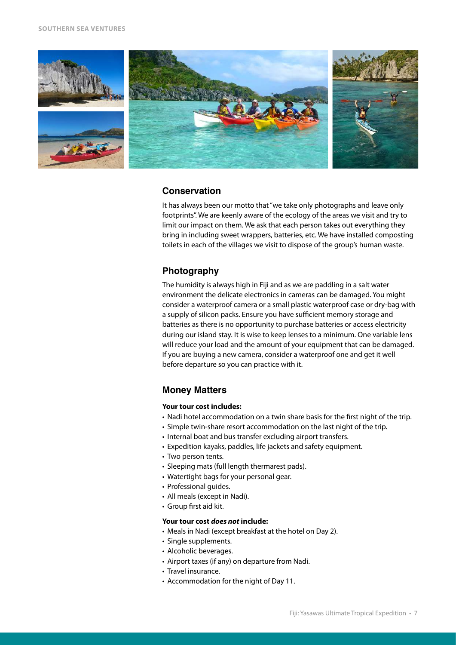

#### **Conservation**

It has always been our motto that "we take only photographs and leave only footprints". We are keenly aware of the ecology of the areas we visit and try to limit our impact on them. We ask that each person takes out everything they bring in including sweet wrappers, batteries, etc. We have installed composting toilets in each of the villages we visit to dispose of the group's human waste.

# **Photography**

The humidity is always high in Fiji and as we are paddling in a salt water environment the delicate electronics in cameras can be damaged. You might consider a waterproof camera or a small plastic waterproof case or dry-bag with a supply of silicon packs. Ensure you have sufficient memory storage and batteries as there is no opportunity to purchase batteries or access electricity during our island stay. It is wise to keep lenses to a minimum. One variable lens will reduce your load and the amount of your equipment that can be damaged. If you are buying a new camera, consider a waterproof one and get it well before departure so you can practice with it.

# **Money Matters**

#### **Your tour cost includes:**

- Nadi hotel accommodation on a twin share basis for the frst night of the trip.
- Simple twin-share resort accommodation on the last night of the trip.
- Internal boat and bus transfer excluding airport transfers.
- Expedition kayaks, paddles, life jackets and safety equipment.
- Two person tents.
- Sleeping mats (full length thermarest pads).
- Watertight bags for your personal gear.
- Professional guides.
- All meals (except in Nadi).
- Group frst aid kit.

#### **Your tour cost** *does not* **include:**

- Meals in Nadi (except breakfast at the hotel on Day 2).
- Single supplements.
- Alcoholic beverages.
- Airport taxes (if any) on departure from Nadi.
- Travel insurance.
- Accommodation for the night of Day 11.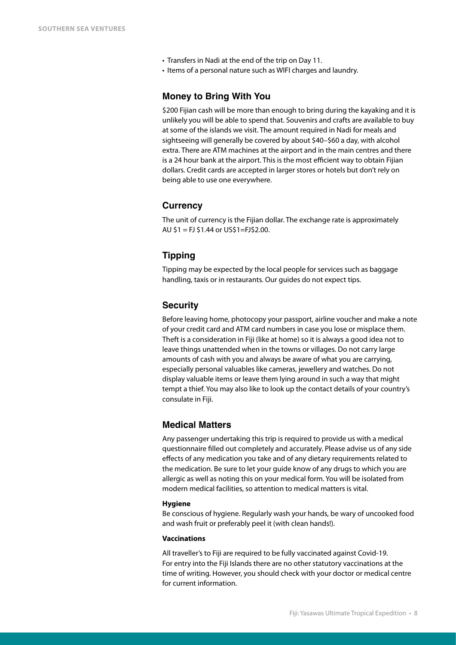- Transfers in Nadi at the end of the trip on Day 11.
- Items of a personal nature such as WIFI charges and laundry.

#### **Money to Bring With You**

\$200 Fijian cash will be more than enough to bring during the kayaking and it is unlikely you will be able to spend that. Souvenirs and crafts are available to buy at some of the islands we visit. The amount required in Nadi for meals and sightseeing will generally be covered by about \$40–\$60 a day, with alcohol extra. There are ATM machines at the airport and in the main centres and there is a 24 hour bank at the airport. This is the most efficient way to obtain Fijian dollars. Credit cards are accepted in larger stores or hotels but don't rely on being able to use one everywhere.

#### **Currency**

The unit of currency is the Fijian dollar. The exchange rate is approximately AU \$1 = FJ \$1.44 or US\$1=FJ\$2.00.

### **Tipping**

Tipping may be expected by the local people for services such as baggage handling, taxis or in restaurants. Our guides do not expect tips.

#### **Security**

Before leaving home, photocopy your passport, airline voucher and make a note of your credit card and ATM card numbers in case you lose or misplace them. Theft is a consideration in Fiji (like at home) so it is always a good idea not to leave things unattended when in the towns or villages. Do not carry large amounts of cash with you and always be aware of what you are carrying, especially personal valuables like cameras, jewellery and watches. Do not display valuable items or leave them lying around in such a way that might tempt a thief. You may also like to look up the contact details of your country's consulate in Fiji.

# **Medical Matters**

Any passenger undertaking this trip is required to provide us with a medical questionnaire flled out completely and accurately. Please advise us of any side effects of any medication you take and of any dietary requirements related to the medication. Be sure to let your guide know of any drugs to which you are allergic as well as noting this on your medical form. You will be isolated from modern medical facilities, so attention to medical matters is vital.

#### **Hygiene**

Be conscious of hygiene. Regularly wash your hands, be wary of uncooked food and wash fruit or preferably peel it (with clean hands!).

#### **Vaccinations**

All traveller's to Fiji are required to be fully vaccinated against Covid-19. For entry into the Fiji Islands there are no other statutory vaccinations at the time of writing. However, you should check with your doctor or medical centre for current information.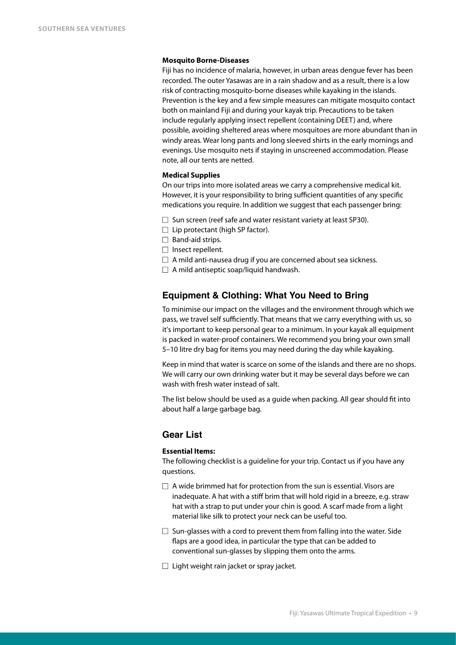#### **Mosquito Borne-Diseases**

Fiji has no incidence of malaria, however, in urban areas dengue fever has been recorded. The outer Yasawas are in a rain shadow and as a result, there is a low risk of contracting mosquito-borne diseases while kayaking in the islands. Prevention is the key and a few simple measures can mitigate mosquito contact both on mainland Fiji and during your kayak trip. Precautions to be taken include regularly applying insect repellent (containing DEET) and, where possible, avoiding sheltered areas where mosquitoes are more abundant than in windy areas. Wear long pants and long sleeved shirts in the early mornings and evenings. Use mosquito nets if staying in unscreened accommodation. Please note, all our tents are netted.

#### **Medical Supplies**

On our trips into more isolated areas we carry a comprehensive medical kit. However, it is your responsibility to bring sufficient quantities of any specifc medications you require. In addition we suggest that each passenger bring:

- $\Box$  Sun screen (reef safe and water resistant variety at least SP30).
- $\Box$  Lip protectant (high SP factor).
- $\Box$  Band-aid strips.
- $\Box$  Insect repellent.
- $\Box$  A mild anti-nausea drug if you are concerned about sea sickness.
- $\Box$  A mild antiseptic soap/liquid handwash.

#### **Equipment & Clothing: What You Need to Bring**

To minimise our impact on the villages and the environment through which we pass, we travel self sufficiently. That means that we carry everything with us, so it's important to keep personal gear to a minimum. In your kayak all equipment is packed in water-proof containers. We recommend you bring your own small 5–10 litre dry bag for items you may need during the day while kayaking.

Keep in mind that water is scarce on some of the islands and there are no shops. We will carry our own drinking water but it may be several days before we can wash with fresh water instead of salt.

The list below should be used as a guide when packing. All gear should ft into about half a large garbage bag.

# **Gear List**

#### **Essential Items:**

The following checklist is a guideline for your trip. Contact us if you have any questions.

- $\Box$  A wide brimmed hat for protection from the sun is essential. Visors are inadequate. A hat with a stiff brim that will hold rigid in a breeze, e.g. straw hat with a strap to put under your chin is good. A scarf made from a light material like silk to protect your neck can be useful too.
- $\Box$  Sun-glasses with a cord to prevent them from falling into the water. Side faps are a good idea, in particular the type that can be added to conventional sun-glasses by slipping them onto the arms.
- $\Box$  Light weight rain jacket or spray jacket.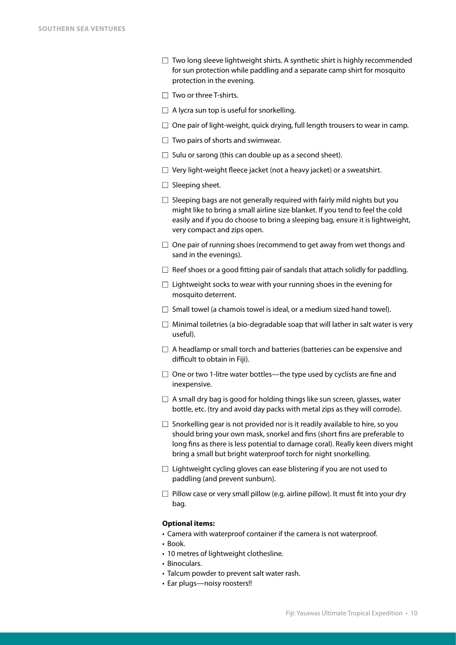- $\Box$  Two long sleeve lightweight shirts. A synthetic shirt is highly recommended for sun protection while paddling and a separate camp shirt for mosquito protection in the evening.
- $\Box$  Two or three T-shirts.
- $\Box$  A lycra sun top is useful for snorkelling.
- $\Box$  One pair of light-weight, quick drying, full length trousers to wear in camp.
- $\Box$  Two pairs of shorts and swimwear.
- $\Box$  Sulu or sarong (this can double up as a second sheet).
- $\Box$  Very light-weight fleece jacket (not a heavy jacket) or a sweatshirt.
- $\Box$  Sleeping sheet.
- $\Box$  Sleeping bags are not generally required with fairly mild nights but you might like to bring a small airline size blanket. If you tend to feel the cold easily and if you do choose to bring a sleeping bag, ensure it is lightweight, very compact and zips open.
- $\Box$  One pair of running shoes (recommend to get away from wet thongs and sand in the evenings).
- $\Box$  Reef shoes or a good fitting pair of sandals that attach solidly for paddling.
- $\Box$  Lightweight socks to wear with your running shoes in the evening for mosquito deterrent.
- $\Box$  Small towel (a chamois towel is ideal, or a medium sized hand towel).
- $\Box$  Minimal toiletries (a bio-degradable soap that will lather in salt water is very useful).
- $\Box$  A headlamp or small torch and batteries (batteries can be expensive and difficult to obtain in Fiji).
- $\Box$  One or two 1-litre water bottles—the type used by cyclists are fine and inexpensive.
- $\Box$  A small dry bag is good for holding things like sun screen, glasses, water bottle, etc. (try and avoid day packs with metal zips as they will corrode).
- $\Box$  Snorkelling gear is not provided nor is it readily available to hire, so you should bring your own mask, snorkel and fns (short fns are preferable to long fns as there is less potential to damage coral). Really keen divers might bring a small but bright waterproof torch for night snorkelling.
- $\Box$  Lightweight cycling gloves can ease blistering if you are not used to paddling (and prevent sunburn).
- $\Box$  Pillow case or very small pillow (e.g. airline pillow). It must fit into your dry bag.

#### **Optional items:**

- Camera with waterproof container if the camera is not waterproof.
- Book.
- 10 metres of lightweight clothesline.
- Binoculars.
- Talcum powder to prevent salt water rash.
- Ear plugs—noisy roosters!!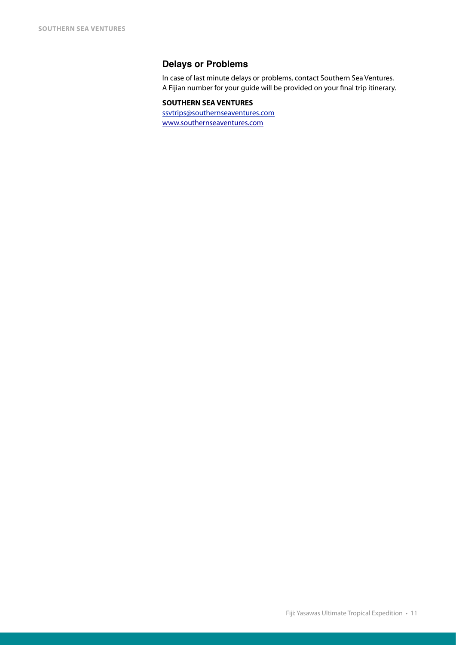# **Delays or Problems**

In case of last minute delays or problems, contact Southern Sea Ventures. A Fijian number for your guide will be provided on your fnal trip itinerary.

### **SOUTHERN SEA VENTURES**

[ssvtrips@southernseaventures.com](mailto:ssvtrips@southernseaventures.com) [www.southernseaventures.com](http://www.southernseaventures.com)